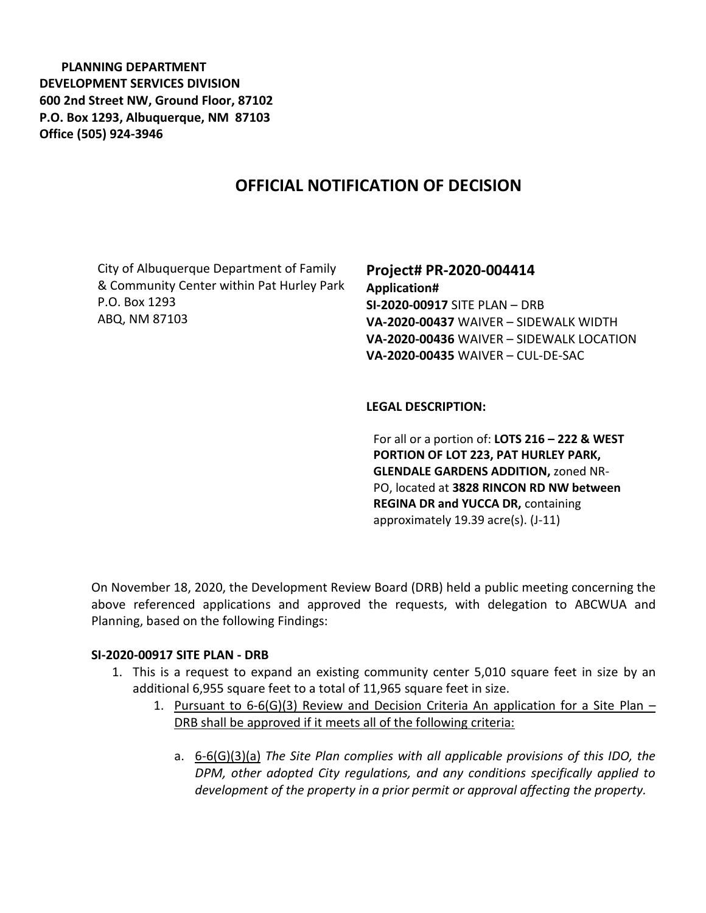**PLANNING DEPARTMENT DEVELOPMENT SERVICES DIVISION 600 2nd Street NW, Ground Floor, 87102 P.O. Box 1293, Albuquerque, NM 87103 Office (505) 924-3946** 

# **OFFICIAL NOTIFICATION OF DECISION**

City of Albuquerque Department of Family & Community Center within Pat Hurley Park P.O. Box 1293 ABQ, NM 87103

**Project# PR-2020-004414 Application# SI-2020-00917** SITE PLAN – DRB **VA-2020-00437** WAIVER – SIDEWALK WIDTH **VA-2020-00436** WAIVER – SIDEWALK LOCATION **VA-2020-00435** WAIVER – CUL-DE-SAC

#### **LEGAL DESCRIPTION:**

For all or a portion of: **LOTS 216 – 222 & WEST PORTION OF LOT 223, PAT HURLEY PARK, GLENDALE GARDENS ADDITION,** zoned NR-PO, located at **3828 RINCON RD NW between REGINA DR and YUCCA DR,** containing approximately 19.39 acre(s). (J-11)

On November 18, 2020, the Development Review Board (DRB) held a public meeting concerning the above referenced applications and approved the requests, with delegation to ABCWUA and Planning, based on the following Findings:

#### **SI-2020-00917 SITE PLAN - DRB**

- 1. This is a request to expand an existing community center 5,010 square feet in size by an additional 6,955 square feet to a total of 11,965 square feet in size.
	- 1. Pursuant to  $6-6$ (G)(3) Review and Decision Criteria An application for a Site Plan DRB shall be approved if it meets all of the following criteria:
		- a. 6-6(G)(3)(a) *The Site Plan complies with all applicable provisions of this IDO, the DPM, other adopted City regulations, and any conditions specifically applied to development of the property in a prior permit or approval affecting the property.*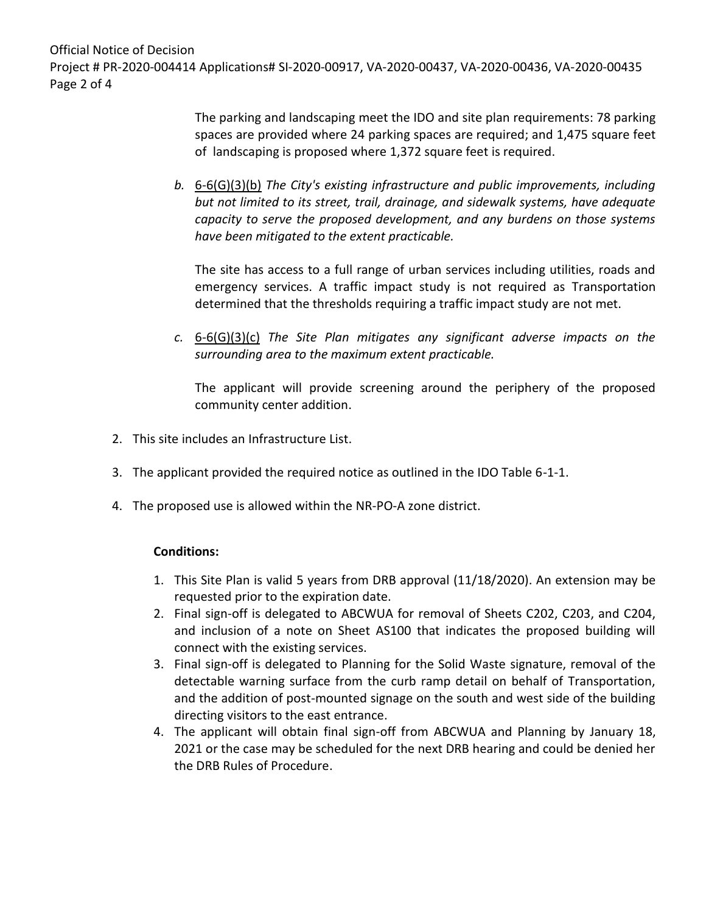Official Notice of Decision Project # PR-2020-004414 Applications# SI-2020-00917, VA-2020-00437, VA-2020-00436, VA-2020-00435 Page 2 of 4

> The parking and landscaping meet the IDO and site plan requirements: 78 parking spaces are provided where 24 parking spaces are required; and 1,475 square feet of landscaping is proposed where 1,372 square feet is required.

*b.* 6-6(G)(3)(b) *The City's existing infrastructure and public improvements, including but not limited to its street, trail, drainage, and sidewalk systems, have adequate capacity to serve the proposed development, and any burdens on those systems have been mitigated to the extent practicable.* 

The site has access to a full range of urban services including utilities, roads and emergency services. A traffic impact study is not required as Transportation determined that the thresholds requiring a traffic impact study are not met.

*c.* 6-6(G)(3)(c) *The Site Plan mitigates any significant adverse impacts on the surrounding area to the maximum extent practicable.* 

The applicant will provide screening around the periphery of the proposed community center addition.

- 2. This site includes an Infrastructure List.
- 3. The applicant provided the required notice as outlined in the IDO Table 6-1-1.
- 4. The proposed use is allowed within the NR-PO-A zone district.

### **Conditions:**

- 1. This Site Plan is valid 5 years from DRB approval (11/18/2020). An extension may be requested prior to the expiration date.
- 2. Final sign-off is delegated to ABCWUA for removal of Sheets C202, C203, and C204, and inclusion of a note on Sheet AS100 that indicates the proposed building will connect with the existing services.
- 3. Final sign-off is delegated to Planning for the Solid Waste signature, removal of the detectable warning surface from the curb ramp detail on behalf of Transportation, and the addition of post-mounted signage on the south and west side of the building directing visitors to the east entrance.
- 4. The applicant will obtain final sign-off from ABCWUA and Planning by January 18, 2021 or the case may be scheduled for the next DRB hearing and could be denied her the DRB Rules of Procedure.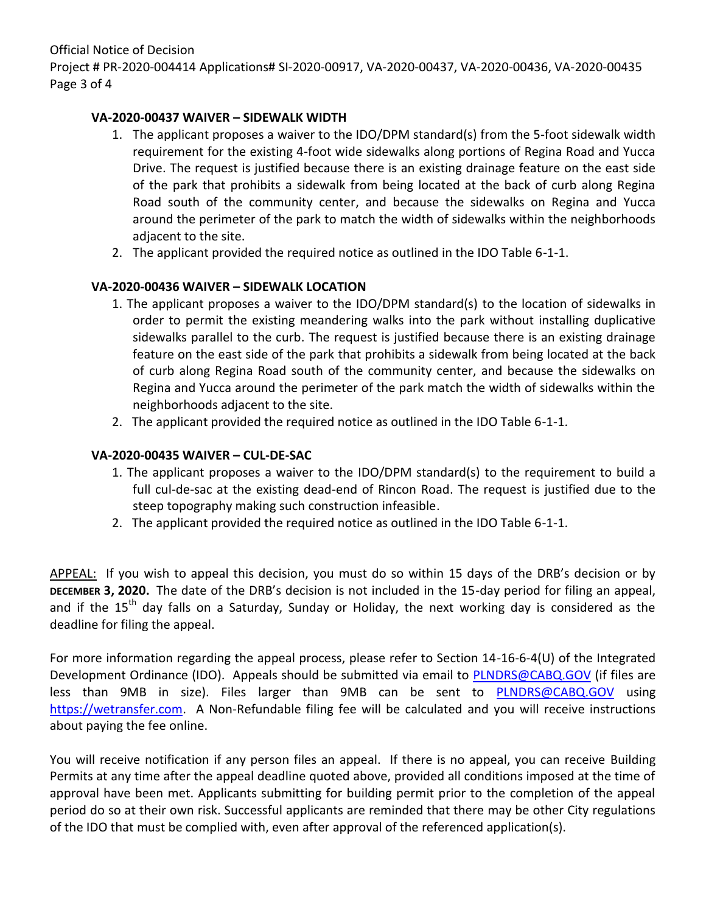Official Notice of Decision Project # PR-2020-004414 Applications# SI-2020-00917, VA-2020-00437, VA-2020-00436, VA-2020-00435 Page 3 of 4

# **VA-2020-00437 WAIVER – SIDEWALK WIDTH**

- 1. The applicant proposes a waiver to the IDO/DPM standard(s) from the 5-foot sidewalk width requirement for the existing 4-foot wide sidewalks along portions of Regina Road and Yucca Drive. The request is justified because there is an existing drainage feature on the east side of the park that prohibits a sidewalk from being located at the back of curb along Regina Road south of the community center, and because the sidewalks on Regina and Yucca around the perimeter of the park to match the width of sidewalks within the neighborhoods adjacent to the site.
- 2. The applicant provided the required notice as outlined in the IDO Table 6-1-1.

# **VA-2020-00436 WAIVER – SIDEWALK LOCATION**

- 1. The applicant proposes a waiver to the IDO/DPM standard(s) to the location of sidewalks in order to permit the existing meandering walks into the park without installing duplicative sidewalks parallel to the curb. The request is justified because there is an existing drainage feature on the east side of the park that prohibits a sidewalk from being located at the back of curb along Regina Road south of the community center, and because the sidewalks on Regina and Yucca around the perimeter of the park match the width of sidewalks within the neighborhoods adjacent to the site.
- 2. The applicant provided the required notice as outlined in the IDO Table 6-1-1.

## **VA-2020-00435 WAIVER – CUL-DE-SAC**

- 1. The applicant proposes a waiver to the IDO/DPM standard(s) to the requirement to build a full cul-de-sac at the existing dead-end of Rincon Road. The request is justified due to the steep topography making such construction infeasible.
- 2. The applicant provided the required notice as outlined in the IDO Table 6-1-1.

APPEAL: If you wish to appeal this decision, you must do so within 15 days of the DRB's decision or by **DECEMBER 3, 2020.** The date of the DRB's decision is not included in the 15-day period for filing an appeal, and if the 15<sup>th</sup> day falls on a Saturday, Sunday or Holiday, the next working day is considered as the deadline for filing the appeal.

For more information regarding the appeal process, please refer to Section 14-16-6-4(U) of the Integrated Development Ordinance (IDO). Appeals should be submitted via email to [PLNDRS@CABQ.GOV](mailto:PLNDRS@CABQ.GOV) (if files are less than 9MB in size). Files larger than 9MB can be sent to [PLNDRS@CABQ.GOV](mailto:PLNDRS@CABQ.GOV) using [https://wetransfer.com.](https://wetransfer.com/) A Non-Refundable filing fee will be calculated and you will receive instructions about paying the fee online.

You will receive notification if any person files an appeal. If there is no appeal, you can receive Building Permits at any time after the appeal deadline quoted above, provided all conditions imposed at the time of approval have been met. Applicants submitting for building permit prior to the completion of the appeal period do so at their own risk. Successful applicants are reminded that there may be other City regulations of the IDO that must be complied with, even after approval of the referenced application(s).